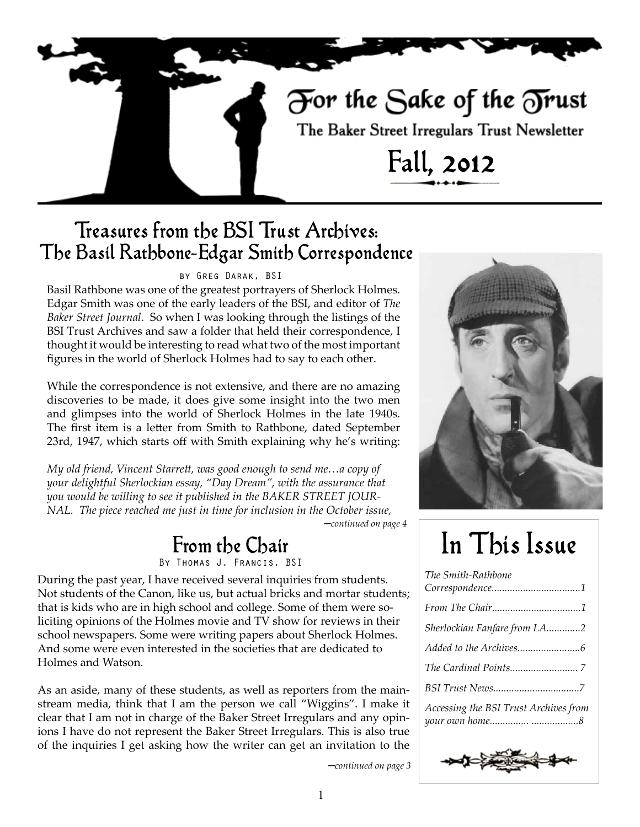# For the Sake of the Trust

The Baker Street Irregulars Trust Newsletter

Fall, 2012

### Treasures from the BSI Trust Archives: The Basil Rathbone-Edgar Smith Correspondence

### by Greg Darak, BSI

Basil Rathbone was one of the greatest portrayers of Sherlock Holmes. Edgar Smith was one of the early leaders of the BSI, and editor of *The Baker Street Journal*. So when I was looking through the listings of the BSI Trust Archives and saw a folder that held their correspondence, I thought it would be interesting to read what two of the most important figures in the world of Sherlock Holmes had to say to each other.

While the correspondence is not extensive, and there are no amazing discoveries to be made, it does give some insight into the two men and glimpses into the world of Sherlock Holmes in the late 1940s. The first item is a letter from Smith to Rathbone, dated September 23rd, 1947, which starts off with Smith explaining why he's writing:

─*continued on page 4 My old friend, Vincent Starrett, was good enough to send me…a copy of your delightful Sherlockian essay, "Day Dream", with the assurance that you would be willing to see it published in the BAKER STREET JOUR-NAL. The piece reached me just in time for inclusion in the October issue,* 

### From the Chair

By Thomas J. Francis, BSI

During the past year, I have received several inquiries from students. Not students of the Canon, like us, but actual bricks and mortar students; that is kids who are in high school and college. Some of them were soliciting opinions of the Holmes movie and TV show for reviews in their school newspapers. Some were writing papers about Sherlock Holmes. And some were even interested in the societies that are dedicated to Holmes and Watson.

As an aside, many of these students, as well as reporters from the mainstream media, think that I am the person we call "Wiggins". I make it clear that I am not in charge of the Baker Street Irregulars and any opinions I have do not represent the Baker Street Irregulars. This is also true of the inquiries I get asking how the writer can get an invitation to the



# In This Issue

| The Smith-Rathbone                    |
|---------------------------------------|
|                                       |
| Sherlockian Fanfare from LA2          |
|                                       |
|                                       |
|                                       |
| Accessing the BSI Trust Archives from |



─*continued on page 3*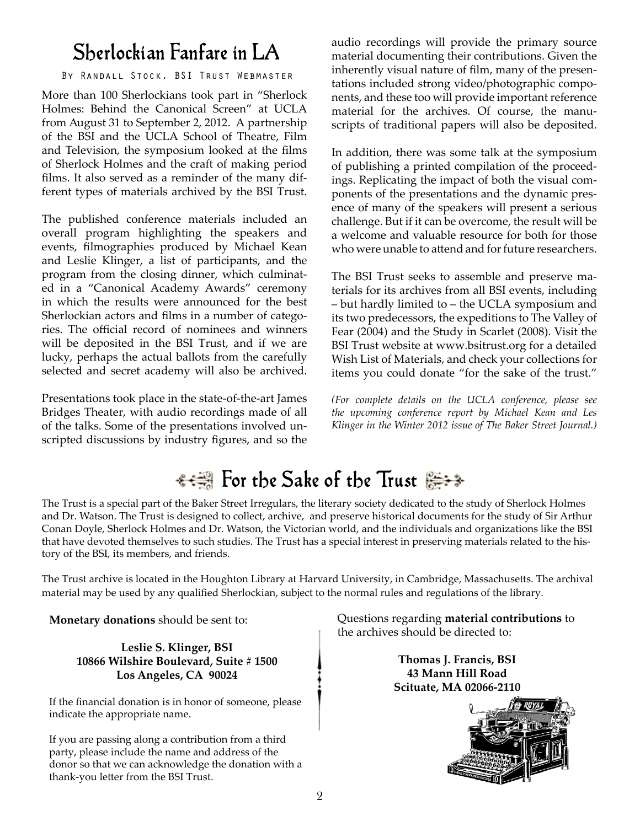### Sherlockian Fanfare in LA

### By Randall Stock, BSI Trust Webmaster

More than 100 Sherlockians took part in "Sherlock Holmes: Behind the Canonical Screen" at UCLA from August 31 to September 2, 2012. A partnership of the BSI and the UCLA School of Theatre, Film and Television, the symposium looked at the films of Sherlock Holmes and the craft of making period films. It also served as a reminder of the many different types of materials archived by the BSI Trust.

The published conference materials included an overall program highlighting the speakers and events, filmographies produced by Michael Kean and Leslie Klinger, a list of participants, and the program from the closing dinner, which culminated in a "Canonical Academy Awards" ceremony in which the results were announced for the best Sherlockian actors and films in a number of categories. The official record of nominees and winners will be deposited in the BSI Trust, and if we are lucky, perhaps the actual ballots from the carefully selected and secret academy will also be archived.

Presentations took place in the state-of-the-art James Bridges Theater, with audio recordings made of all of the talks. Some of the presentations involved unscripted discussions by industry figures, and so the

audio recordings will provide the primary source material documenting their contributions. Given the inherently visual nature of film, many of the presentations included strong video/photographic components, and these too will provide important reference material for the archives. Of course, the manuscripts of traditional papers will also be deposited.

In addition, there was some talk at the symposium of publishing a printed compilation of the proceedings. Replicating the impact of both the visual components of the presentations and the dynamic presence of many of the speakers will present a serious challenge. But if it can be overcome, the result will be a welcome and valuable resource for both for those who were unable to attend and for future researchers.

The BSI Trust seeks to assemble and preserve materials for its archives from all BSI events, including – but hardly limited to – the UCLA symposium and its two predecessors, the expeditions to The Valley of Fear (2004) and the Study in Scarlet (2008). Visit the BSI Trust website at www.bsitrust.org for a detailed Wish List of Materials, and check your collections for items you could donate "for the sake of the trust."

*(For complete details on the UCLA conference, please see the upcoming conference report by Michael Kean and Les Klinger in the Winter 2012 issue of The Baker Street Journal.)*

## <del>• • </del> For the Sake of the Trust

The Trust is a special part of the Baker Street Irregulars, the literary society dedicated to the study of Sherlock Holmes and Dr. Watson. The Trust is designed to collect, archive, and preserve historical documents for the study of Sir Arthur Conan Doyle, Sherlock Holmes and Dr. Watson, the Victorian world, and the individuals and organizations like the BSI that have devoted themselves to such studies. The Trust has a special interest in preserving materials related to the history of the BSI, its members, and friends.

The Trust archive is located in the Houghton Library at Harvard University, in Cambridge, Massachusetts. The archival material may be used by any qualified Sherlockian, subject to the normal rules and regulations of the library.

**Monetary donations** should be sent to:

**Leslie S. Klinger, BSI 10866 Wilshire Boulevard, Suite # 1500 Los Angeles, CA 90024**

If the financial donation is in honor of someone, please indicate the appropriate name.

If you are passing along a contribution from a third party, please include the name and address of the donor so that we can acknowledge the donation with a thank-you letter from the BSI Trust.

Questions regarding **material contributions** to the archives should be directed to:

> **Thomas J. Francis, BSI 43 Mann Hill Road Scituate, MA 02066-2110**

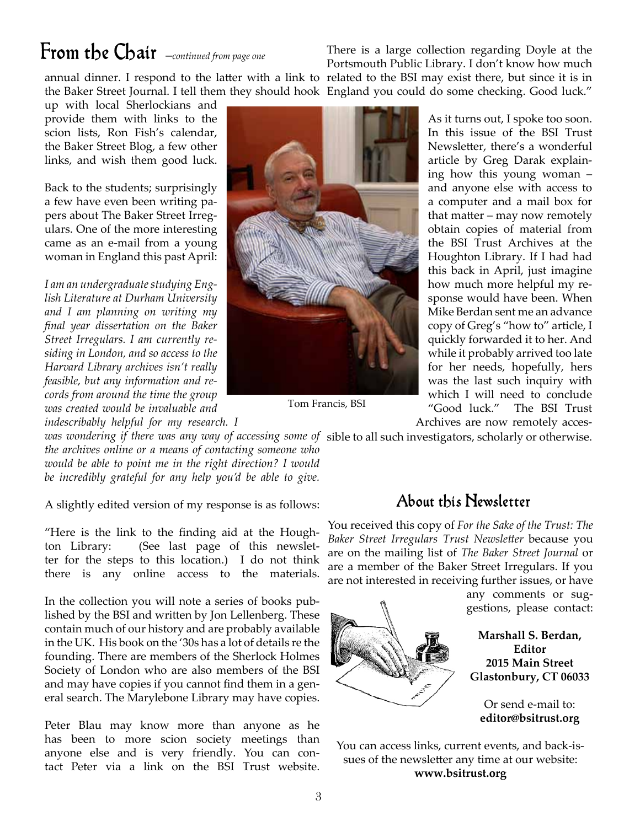# From the Chair ─*continued from page one*

There is a large collection regarding Doyle at the Portsmouth Public Library. I don't know how much

annual dinner. I respond to the latter with a link to related to the BSI may exist there, but since it is in the Baker Street Journal. I tell them they should hook England you could do some checking. Good luck."

up with local Sherlockians and provide them with links to the scion lists, Ron Fish's calendar, the Baker Street Blog, a few other links, and wish them good luck.

Back to the students; surprisingly a few have even been writing papers about The Baker Street Irregulars. One of the more interesting came as an e-mail from a young woman in England this past April:

*I am an undergraduate studying English Literature at Durham University and I am planning on writing my final year dissertation on the Baker Street Irregulars. I am currently residing in London, and so access to the Harvard Library archives isn't really feasible, but any information and records from around the time the group was created would be invaluable and* 

*indescribably helpful for my research. I* 



Tom Francis, BSI

As it turns out, I spoke too soon. In this issue of the BSI Trust Newsletter, there's a wonderful article by Greg Darak explaining how this young woman – and anyone else with access to a computer and a mail box for that matter – may now remotely obtain copies of material from the BSI Trust Archives at the Houghton Library. If I had had this back in April, just imagine how much more helpful my response would have been. When Mike Berdan sent me an advance copy of Greg's "how to" article, I quickly forwarded it to her. And while it probably arrived too late for her needs, hopefully, hers was the last such inquiry with which I will need to conclude "Good luck." The BSI Trust Archives are now remotely acces-

was wondering if there was any way of accessing some of sible to all such investigators, scholarly or otherwise.

*the archives online or a means of contacting someone who would be able to point me in the right direction? I would be incredibly grateful for any help you'd be able to give.*

A slightly edited version of my response is as follows:

"Here is the link to the finding aid at the Houghton Library: (See last page of this newsletter for the steps to this location.) I do not think there is any online access to the materials.

In the collection you will note a series of books published by the BSI and written by Jon Lellenberg. These contain much of our history and are probably available in the UK. His book on the '30s has a lot of details re the founding. There are members of the Sherlock Holmes Society of London who are also members of the BSI and may have copies if you cannot find them in a general search. The Marylebone Library may have copies.

Peter Blau may know more than anyone as he has been to more scion society meetings than anyone else and is very friendly. You can contact Peter via a link on the BSI Trust website.

### About this Newsletter

You received this copy of *For the Sake of the Trust: The Baker Street Irregulars Trust Newsletter* because you are on the mailing list of *The Baker Street Journal* or are a member of the Baker Street Irregulars. If you are not interested in receiving further issues, or have



Or send e-mail to: **editor@bsitrust.org**

You can access links, current events, and back-issues of the newsletter any time at our website: **www.bsitrust.org**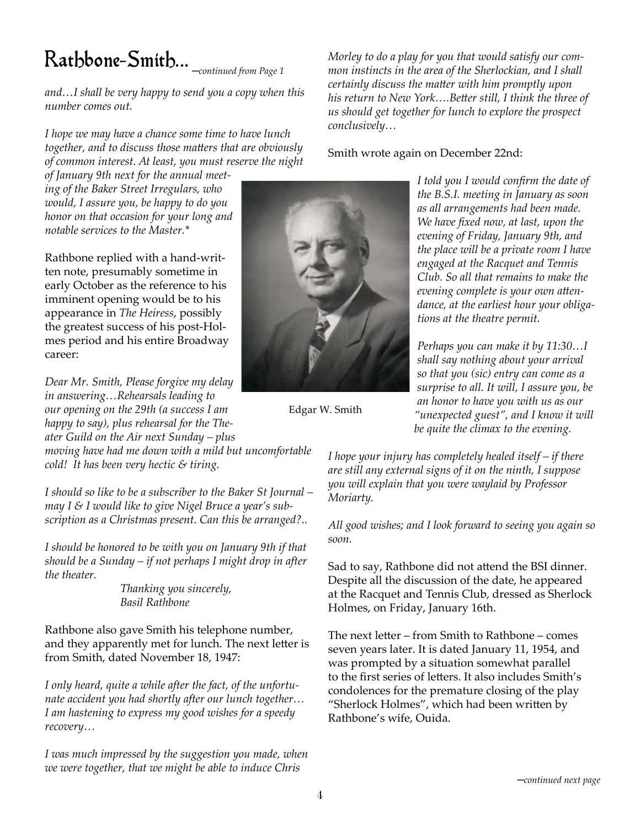# Rathbone-Smith... ─*continued from Page 1*

*and…I shall be very happy to send you a copy when this number comes out.*

*I hope we may have a chance some time to have lunch together, and to discuss those matters that are obviously of common interest. At least, you must reserve the night* 

*of January 9th next for the annual meeting of the Baker Street Irregulars, who would, I assure you, be happy to do you honor on that occasion for your long and notable services to the Master.\**

Rathbone replied with a hand-written note, presumably sometime in early October as the reference to his imminent opening would be to his appearance in *The Heiress*, possibly the greatest success of his post-Holmes period and his entire Broadway career:

*Dear Mr. Smith, Please forgive my delay in answering…Rehearsals leading to our opening on the 29th (a success I am happy to say), plus rehearsal for the Theater Guild on the Air next Sunday – plus moving have had me down with a mild but uncomfortable* 

*cold! It has been very hectic & tiring.*

*I should so like to be a subscriber to the Baker St Journal – may I & I would like to give Nigel Bruce a year's subscription as a Christmas present. Can this be arranged?..*

*I should be honored to be with you on January 9th if that should be a Sunday – if not perhaps I might drop in after the theater.*

> *Thanking you sincerely, Basil Rathbone*

Rathbone also gave Smith his telephone number, and they apparently met for lunch. The next letter is from Smith, dated November 18, 1947:

*I only heard, quite a while after the fact, of the unfortunate accident you had shortly after our lunch together… I am hastening to express my good wishes for a speedy recovery…*

*I was much impressed by the suggestion you made, when we were together, that we might be able to induce Chris* 

Edgar W. Smith

*Morley to do a play for you that would satisfy our common instincts in the area of the Sherlockian, and I shall certainly discuss the matter with him promptly upon his return to New York….Better still, I think the three of us should get together for lunch to explore the prospect conclusively…*

Smith wrote again on December 22nd:

*I told you I would confirm the date of the B.S.I. meeting in January as soon as all arrangements had been made. We have fixed now, at last, upon the evening of Friday, January 9th, and the place will be a private room I have engaged at the Racquet and Tennis Club. So all that remains to make the evening complete is your own attendance, at the earliest hour your obligations at the theatre permit.*

*Perhaps you can make it by 11:30…I shall say nothing about your arrival so that you (sic) entry can come as a surprise to all. It will, I assure you, be an honor to have you with us as our "unexpected guest", and I know it will be quite the climax to the evening.* 

*I hope your injury has completely healed itself – if there are still any external signs of it on the ninth, I suppose you will explain that you were waylaid by Professor Moriarty.*

*All good wishes; and I look forward to seeing you again so soon.*

Sad to say, Rathbone did not attend the BSI dinner. Despite all the discussion of the date, he appeared at the Racquet and Tennis Club, dressed as Sherlock Holmes, on Friday, January 16th.

The next letter – from Smith to Rathbone – comes seven years later. It is dated January 11, 1954, and was prompted by a situation somewhat parallel to the first series of letters. It also includes Smith's condolences for the premature closing of the play "Sherlock Holmes", which had been written by Rathbone's wife, Ouida.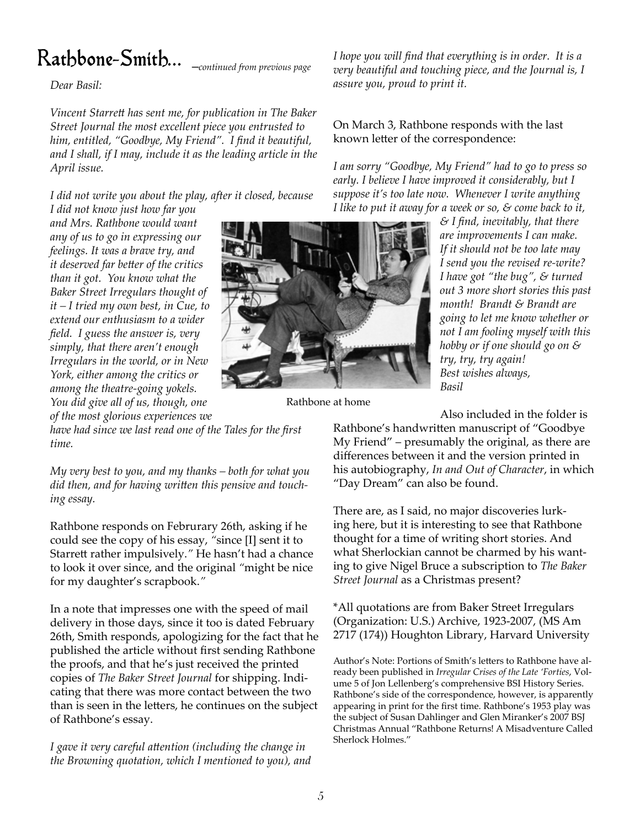# ─*continued from previous page* Rathbone-Smith...

*Dear Basil:*

*Vincent Starrett has sent me, for publication in The Baker Street Journal the most excellent piece you entrusted to him, entitled, "Goodbye, My Friend". I find it beautiful, and I shall, if I may, include it as the leading article in the April issue.*

*I did not write you about the play, after it closed, because* 

*I did not know just how far you and Mrs. Rathbone would want any of us to go in expressing our feelings. It was a brave try, and it deserved far better of the critics than it got. You know what the Baker Street Irregulars thought of it – I tried my own best, in Cue, to extend our enthusiasm to a wider field. I guess the answer is, very simply, that there aren't enough Irregulars in the world, or in New York, either among the critics or among the theatre-going yokels. You did give all of us, though, one* 

*of the most glorious experiences we* 

Rathbone at home

*I hope you will find that everything is in order. It is a very beautiful and touching piece, and the Journal is, I assure you, proud to print it.*

On March 3, Rathbone responds with the last known letter of the correspondence:

*I am sorry "Goodbye, My Friend" had to go to press so early. I believe I have improved it considerably, but I suppose it's too late now. Whenever I write anything I like to put it away for a week or so, & come back to it,* 

> *& I find, inevitably, that there are improvements I can make. If it should not be too late may I send you the revised re-write? I have got "the bug", & turned out 3 more short stories this past month! Brandt & Brandt are going to let me know whether or not I am fooling myself with this hobby or if one should go on & try, try, try again! Best wishes always, Basil*

Also included in the folder is

*have had since we last read one of the Tales for the first time.*

*My very best to you, and my thanks – both for what you did then, and for having written this pensive and touching essay.*

Rathbone responds on Februrary 26th, asking if he could see the copy of his essay, *"*since [I] sent it to Starrett rather impulsively.*"* He hasn't had a chance to look it over since, and the original *"*might be nice for my daughter's scrapbook.*"*

In a note that impresses one with the speed of mail delivery in those days, since it too is dated February 26th, Smith responds, apologizing for the fact that he published the article without first sending Rathbone the proofs, and that he's just received the printed copies of *The Baker Street Journal* for shipping. Indicating that there was more contact between the two than is seen in the letters, he continues on the subject of Rathbone's essay.

*I gave it very careful attention (including the change in the Browning quotation, which I mentioned to you), and*  Rathbone's handwritten manuscript of "Goodbye My Friend" – presumably the original, as there are differences between it and the version printed in his autobiography, *In and Out of Character*, in which "Day Dream" can also be found.

There are, as I said, no major discoveries lurking here, but it is interesting to see that Rathbone thought for a time of writing short stories. And what Sherlockian cannot be charmed by his wanting to give Nigel Bruce a subscription to *The Baker Street Journal* as a Christmas present?

\*All quotations are from Baker Street Irregulars (Organization: U.S.) Archive, 1923-2007, (MS Am 2717 (174)) Houghton Library, Harvard University

Author's Note: Portions of Smith's letters to Rathbone have already been published in *Irregular Crises of the Late 'Forties*, Volume 5 of Jon Lellenberg's comprehensive BSI History Series. Rathbone's side of the correspondence, however, is apparently appearing in print for the first time. Rathbone's 1953 play was the subject of Susan Dahlinger and Glen Miranker's 2007 BSJ Christmas Annual "Rathbone Returns! A Misadventure Called Sherlock Holmes."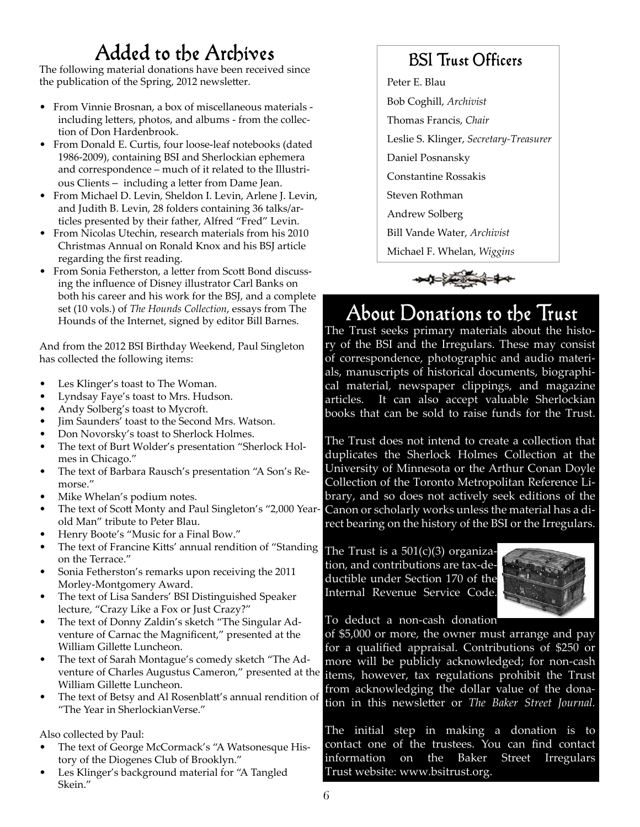## Added to the Archives

The following material donations have been received since the publication of the Spring, 2012 newsletter.

- From Vinnie Brosnan, a box of miscellaneous materials including letters, photos, and albums - from the collection of Don Hardenbrook.
- From Donald E. Curtis, four loose-leaf notebooks (dated 1986-2009), containing BSI and Sherlockian ephemera and correspondence – much of it related to the Illustrious Clients – including a letter from Dame Jean.
- From Michael D. Levin, Sheldon I. Levin, Arlene J. Levin, and Judith B. Levin, 28 folders containing 36 talks/articles presented by their father, Alfred "Fred" Levin.
- From Nicolas Utechin, research materials from his 2010 Christmas Annual on Ronald Knox and his BSJ article regarding the first reading.
- From Sonia Fetherston, a letter from Scott Bond discussing the influence of Disney illustrator Carl Banks on both his career and his work for the BSJ, and a complete set (10 vols.) of *The Hounds Collection*, essays from The Hounds of the Internet, signed by editor Bill Barnes.

And from the 2012 BSI Birthday Weekend, Paul Singleton has collected the following items:

- Les Klinger's toast to The Woman.
- Lyndsay Faye's toast to Mrs. Hudson.
- Andy Solberg's toast to Mycroft.
- Jim Saunders' toast to the Second Mrs. Watson.
- Don Novorsky's toast to Sherlock Holmes.
- The text of Burt Wolder's presentation "Sherlock Holmes in Chicago."
- The text of Barbara Rausch's presentation "A Son's Remorse."
- Mike Whelan's podium notes.
- The text of Scott Monty and Paul Singleton's "2,000 Yearold Man" tribute to Peter Blau.
- Henry Boote's "Music for a Final Bow."
- The text of Francine Kitts' annual rendition of "Standing" on the Terrace."
- Sonia Fetherston's remarks upon receiving the 2011 Morley-Montgomery Award.
- The text of Lisa Sanders' BSI Distinguished Speaker lecture, "Crazy Like a Fox or Just Crazy?"
- The text of Donny Zaldin's sketch "The Singular Adventure of Carnac the Magnificent," presented at the William Gillette Luncheon.
- The text of Sarah Montague's comedy sketch "The Adventure of Charles Augustus Cameron," presented at the William Gillette Luncheon.
- The text of Betsy and Al Rosenblatt's annual rendition of "The Year in SherlockianVerse."

Also collected by Paul:

- The text of George McCormack's "A Watsonesque History of the Diogenes Club of Brooklyn."
- Les Klinger's background material for "A Tangled Skein."

### BSI Trust Officers

Peter E. Blau

- Bob Coghill, *Archivist*
- Thomas Francis, *Chair*
- Leslie S. Klinger, *Secretary-Treasurer*
- Daniel Posnansky
- Constantine Rossakis
- Steven Rothman
- Andrew Solberg

Bill Vande Water, *Archivist*

Michael F. Whelan, *Wiggins*



## About Donations to the Trust

The Trust seeks primary materials about the history of the BSI and the Irregulars. These may consist of correspondence, photographic and audio materials, manuscripts of historical documents, biographical material, newspaper clippings, and magazine articles. It can also accept valuable Sherlockian books that can be sold to raise funds for the Trust.

The Trust does not intend to create a collection that duplicates the Sherlock Holmes Collection at the University of Minnesota or the Arthur Conan Doyle Collection of the Toronto Metropolitan Reference Library, and so does not actively seek editions of the Canon or scholarly works unless the material has a direct bearing on the history of the BSI or the Irregulars.

The Trust is a  $501(c)(3)$  organization, and contributions are tax-deductible under Section 170 of the Internal Revenue Service Code.



To deduct a non-cash donation

of \$5,000 or more, the owner must arrange and pay for a qualified appraisal. Contributions of \$250 or more will be publicly acknowledged; for non-cash items, however, tax regulations prohibit the Trust from acknowledging the dollar value of the donation in this newsletter or *The Baker Street Journal.*

The initial step in making a donation is to contact one of the trustees. You can find contact information on the Baker Street Irregulars Trust website: www.bsitrust.org.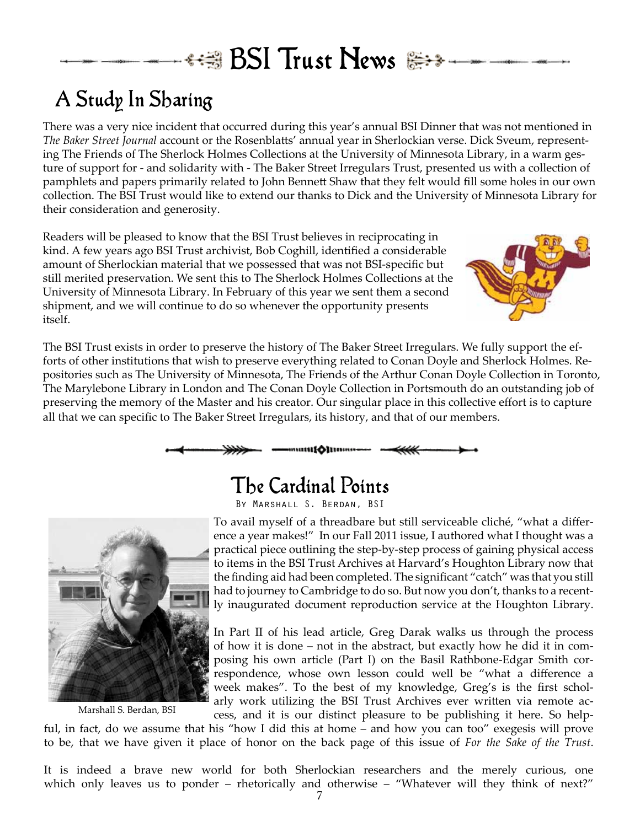# *\*\*\** BSI Trust News

## A Study In Sharing

There was a very nice incident that occurred during this year's annual BSI Dinner that was not mentioned in *The Baker Street Journal* account or the Rosenblatts' annual year in Sherlockian verse. Dick Sveum, representing The Friends of The Sherlock Holmes Collections at the University of Minnesota Library, in a warm gesture of support for - and solidarity with - The Baker Street Irregulars Trust, presented us with a collection of pamphlets and papers primarily related to John Bennett Shaw that they felt would fill some holes in our own collection. The BSI Trust would like to extend our thanks to Dick and the University of Minnesota Library for their consideration and generosity.

Readers will be pleased to know that the BSI Trust believes in reciprocating in kind. A few years ago BSI Trust archivist, Bob Coghill, identified a considerable amount of Sherlockian material that we possessed that was not BSI-specific but still merited preservation. We sent this to The Sherlock Holmes Collections at the University of Minnesota Library. In February of this year we sent them a second shipment, and we will continue to do so whenever the opportunity presents itself.



The BSI Trust exists in order to preserve the history of The Baker Street Irregulars. We fully support the efforts of other institutions that wish to preserve everything related to Conan Doyle and Sherlock Holmes. Repositories such as The University of Minnesota, The Friends of the Arthur Conan Doyle Collection in Toronto, The Marylebone Library in London and The Conan Doyle Collection in Portsmouth do an outstanding job of preserving the memory of the Master and his creator. Our singular place in this collective effort is to capture all that we can specific to The Baker Street Irregulars, its history, and that of our members.



### The Cardinal Points





Marshall S. Berdan, BSI

To avail myself of a threadbare but still serviceable cliché, "what a difference a year makes!" In our Fall 2011 issue, I authored what I thought was a practical piece outlining the step-by-step process of gaining physical access to items in the BSI Trust Archives at Harvard's Houghton Library now that the finding aid had been completed. The significant "catch" was that you still had to journey to Cambridge to do so. But now you don't, thanks to a recently inaugurated document reproduction service at the Houghton Library.

In Part II of his lead article, Greg Darak walks us through the process of how it is done – not in the abstract, but exactly how he did it in composing his own article (Part I) on the Basil Rathbone-Edgar Smith correspondence, whose own lesson could well be "what a difference a week makes". To the best of my knowledge, Greg's is the first scholarly work utilizing the BSI Trust Archives ever written via remote access, and it is our distinct pleasure to be publishing it here. So help-

ful, in fact, do we assume that his "how I did this at home – and how you can too" exegesis will prove to be, that we have given it place of honor on the back page of this issue of *For the Sake of the Trust*.

It is indeed a brave new world for both Sherlockian researchers and the merely curious, one which only leaves us to ponder – rhetorically and otherwise – "Whatever will they think of next?"